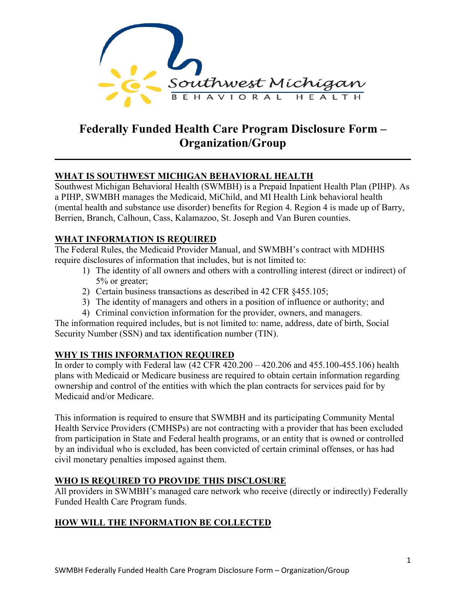

# **Federally Funded Health Care Program Disclosure Form – Organization/Group**

# **WHAT IS SOUTHWEST MICHIGAN BEHAVIORAL HEALTH**

Southwest Michigan Behavioral Health (SWMBH) is a Prepaid Inpatient Health Plan (PIHP). As a PIHP, SWMBH manages the Medicaid, MiChild, and MI Health Link behavioral health (mental health and substance use disorder) benefits for Region 4. Region 4 is made up of Barry, Berrien, Branch, Calhoun, Cass, Kalamazoo, St. Joseph and Van Buren counties.

# **WHAT INFORMATION IS REQUIRED**

The Federal Rules, the Medicaid Provider Manual, and SWMBH's contract with MDHHS require disclosures of information that includes, but is not limited to:

- 1) The identity of all owners and others with a controlling interest (direct or indirect) of 5% or greater;
- 2) Certain business transactions as described in 42 CFR §455.105;
- 3) The identity of managers and others in a position of influence or authority; and
- 4) Criminal conviction information for the provider, owners, and managers.

The information required includes, but is not limited to: name, address, date of birth, Social Security Number (SSN) and tax identification number (TIN).

# **WHY IS THIS INFORMATION REQUIRED**

In order to comply with Federal law (42 CFR 420.200 – 420.206 and 455.100-455.106) health plans with Medicaid or Medicare business are required to obtain certain information regarding ownership and control of the entities with which the plan contracts for services paid for by Medicaid and/or Medicare.

This information is required to ensure that SWMBH and its participating Community Mental Health Service Providers (CMHSPs) are not contracting with a provider that has been excluded from participation in State and Federal health programs, or an entity that is owned or controlled by an individual who is excluded, has been convicted of certain criminal offenses, or has had civil monetary penalties imposed against them.

# **WHO IS REQUIRED TO PROVIDE THIS DISCLOSURE**

All providers in SWMBH's managed care network who receive (directly or indirectly) Federally Funded Health Care Program funds.

# **HOW WILL THE INFORMATION BE COLLECTED**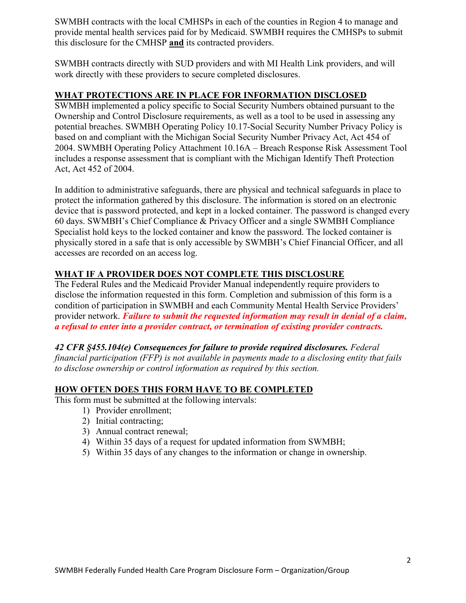SWMBH contracts with the local CMHSPs in each of the counties in Region 4 to manage and provide mental health services paid for by Medicaid. SWMBH requires the CMHSPs to submit this disclosure for the CMHSP **and** its contracted providers.

SWMBH contracts directly with SUD providers and with MI Health Link providers, and will work directly with these providers to secure completed disclosures.

#### **WHAT PROTECTIONS ARE IN PLACE FOR INFORMATION DISCLOSED**

SWMBH implemented a policy specific to Social Security Numbers obtained pursuant to the Ownership and Control Disclosure requirements, as well as a tool to be used in assessing any potential breaches. SWMBH Operating Policy 10.17-Social Security Number Privacy Policy is based on and compliant with the Michigan Social Security Number Privacy Act, Act 454 of 2004. SWMBH Operating Policy Attachment 10.16A – Breach Response Risk Assessment Tool includes a response assessment that is compliant with the Michigan Identify Theft Protection Act, Act 452 of 2004.

In addition to administrative safeguards, there are physical and technical safeguards in place to protect the information gathered by this disclosure. The information is stored on an electronic device that is password protected, and kept in a locked container. The password is changed every 60 days. SWMBH's Chief Compliance & Privacy Officer and a single SWMBH Compliance Specialist hold keys to the locked container and know the password. The locked container is physically stored in a safe that is only accessible by SWMBH's Chief Financial Officer, and all accesses are recorded on an access log.

# **WHAT IF A PROVIDER DOES NOT COMPLETE THIS DISCLOSURE**

The Federal Rules and the Medicaid Provider Manual independently require providers to disclose the information requested in this form. Completion and submission of this form is a condition of participation in SWMBH and each Community Mental Health Service Providers' provider network. *Failure to submit the requested information may result in denial of a claim, a refusal to enter into a provider contract, or termination of existing provider contracts.*

*42 CFR §455.104(e) Consequences for failure to provide required disclosures. Federal financial participation (FFP) is not available in payments made to a disclosing entity that fails to disclose ownership or control information as required by this section.* 

### **HOW OFTEN DOES THIS FORM HAVE TO BE COMPLETED**

This form must be submitted at the following intervals:

- 1) Provider enrollment;
- 2) Initial contracting;
- 3) Annual contract renewal;
- 4) Within 35 days of a request for updated information from SWMBH;
- 5) Within 35 days of any changes to the information or change in ownership.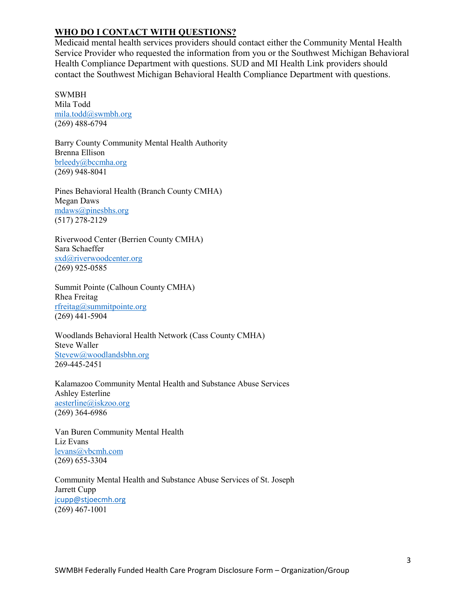### **WHO DO I CONTACT WITH QUESTIONS?**

Medicaid mental health services providers should contact either the Community Mental Health Service Provider who requested the information from you or the Southwest Michigan Behavioral Health Compliance Department with questions. SUD and MI Health Link providers should contact the Southwest Michigan Behavioral Health Compliance Department with questions.

SWMBH Mila Todd [mila.todd@swmbh.org](mailto:mila.todd@swmbh.org) (269) 488-6794

Barry County Community Mental Health Authority Brenna Ellison brleedy@bccmha.org (269) 948-8041

Pines Behavioral Health (Branch County CMHA) Megan Daws [mdaws@pinesbhs.org](mailto:scizio@pinesbhs.org) (517) 278-2129

Riverwood Center (Berrien County CMHA) Sara Schaeffer [sxd@riverwoodcenter.org](mailto:sxd@riverwoodcenter.org) (269) 925-0585

Summit Pointe (Calhoun County CMHA) Rhea Freitag rfreitag@summitpointe.org (269) 441-5904

Woodlands Behavioral Health Network (Cass County CMHA) Steve Waller [Stevew@woodlandsbhn.org](mailto:marym@woodlandsbhn.org) 269-445-2451

Kalamazoo Community Mental Health and Substance Abuse Services Ashley Esterline aesterline@iskzoo.org (269) 364-6986

Van Buren Community Mental Health Liz Evans [levans@vbcmh.com](mailto:hmckone@vbcmh.com) (269) 655-3304

Community Mental Health and Substance Abuse Services of St. Joseph Jarrett Cupp [jcupp@stjoecmh.org](mailto:cbullock@stjoecmh.org) (269) 467-1001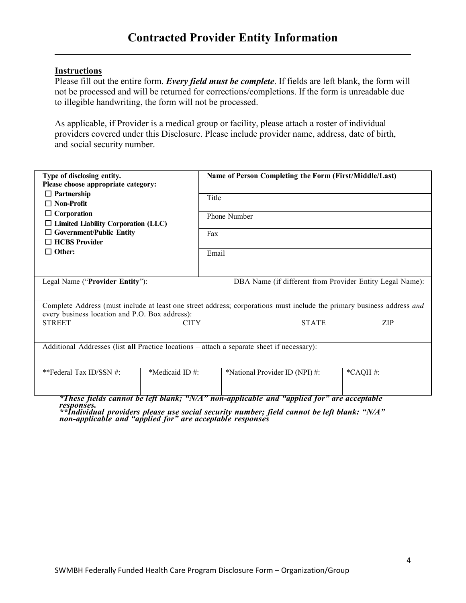#### **Instructions**

Please fill out the entire form. *Every field must be complete*. If fields are left blank, the form will not be processed and will be returned for corrections/completions. If the form is unreadable due to illegible handwriting, the form will not be processed.

As applicable, if Provider is a medical group or facility, please attach a roster of individual providers covered under this Disclosure. Please include provider name, address, date of birth, and social security number.

| Type of disclosing entity.<br>Please choose appropriate category:                          |                | Name of Person Completing the Form (First/Middle/Last)                                                                 |            |  |
|--------------------------------------------------------------------------------------------|----------------|------------------------------------------------------------------------------------------------------------------------|------------|--|
| $\Box$ Partnership<br>$\Box$ Non-Profit                                                    |                | Title                                                                                                                  |            |  |
| $\Box$ Corporation<br>$\Box$ Limited Liability Corporation (LLC)                           |                | Phone Number                                                                                                           |            |  |
| $\Box$ Government/Public Entity<br>$\Box$ HCBS Provider                                    | Fax            |                                                                                                                        |            |  |
| $\Box$ Other:                                                                              | Email          |                                                                                                                        |            |  |
| Legal Name ("Provider Entity"):                                                            |                | DBA Name (if different from Provider Entity Legal Name):                                                               |            |  |
| every business location and P.O. Box address):                                             |                | Complete Address (must include at least one street address; corporations must include the primary business address and |            |  |
| <b>STREET</b>                                                                              | <b>CITY</b>    | <b>STATE</b>                                                                                                           | <b>ZIP</b> |  |
| Additional Addresses (list all Practice locations – attach a separate sheet if necessary): |                |                                                                                                                        |            |  |
| **Federal Tax ID/SSN #:                                                                    | *Medicaid ID#: | *National Provider ID (NPI) #:                                                                                         | $*$ CAQH#: |  |
|                                                                                            |                | *These fields cannot be left blank; "N/A" non-applicable and "applied for" are acceptable                              |            |  |

responses.<br>\*\*Individual providers please use social security number; field cannot be left blank: "N/A"<br>non-applicable and "applied for" are acceptable responses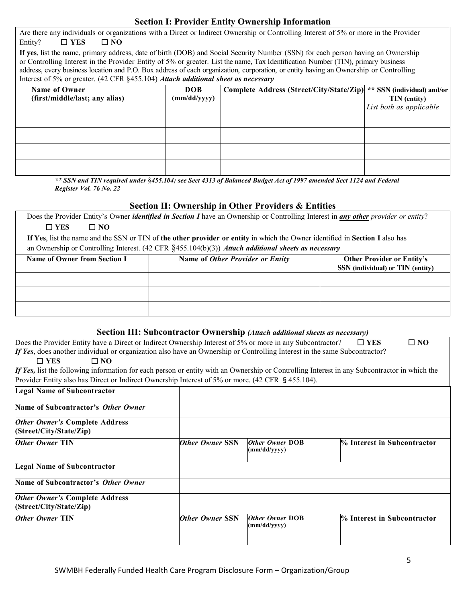#### **Section I: Provider Entity Ownership Information**

| Are there any individuals or organizations with a Direct or Indirect Ownership or Controlling Interest of 5% or more in the Provider<br>Entity?<br>$\square$ YES<br>$\Box$ NO                                                                                              |                                                                                      |  |                         |  |  |
|----------------------------------------------------------------------------------------------------------------------------------------------------------------------------------------------------------------------------------------------------------------------------|--------------------------------------------------------------------------------------|--|-------------------------|--|--|
| If yes, list the name, primary address, date of birth (DOB) and Social Security Number (SSN) for each person having an Ownership                                                                                                                                           |                                                                                      |  |                         |  |  |
| or Controlling Interest in the Provider Entity of 5% or greater. List the name, Tax Identification Number (TIN), primary business<br>address, every business location and P.O. Box address of each organization, corporation, or entity having an Ownership or Controlling |                                                                                      |  |                         |  |  |
| Interest of 5% or greater. (42 CFR §455.104) Attach additional sheet as necessary                                                                                                                                                                                          |                                                                                      |  |                         |  |  |
| Name of Owner                                                                                                                                                                                                                                                              | ** SSN (individual) and/or<br>Complete Address (Street/City/State/Zip)<br><b>DOB</b> |  |                         |  |  |
| (first/middle/last; any alias)                                                                                                                                                                                                                                             | (mm/dd/yyyy)                                                                         |  | <b>TIN</b> (entity)     |  |  |
|                                                                                                                                                                                                                                                                            |                                                                                      |  | List both as applicable |  |  |
|                                                                                                                                                                                                                                                                            |                                                                                      |  |                         |  |  |
|                                                                                                                                                                                                                                                                            |                                                                                      |  |                         |  |  |
|                                                                                                                                                                                                                                                                            |                                                                                      |  |                         |  |  |
|                                                                                                                                                                                                                                                                            |                                                                                      |  |                         |  |  |

\*\* SSN and TIN required under §455.104; see Sect 4313 of Balanced Budget Act of 1997 amended Sect 1124 and Federal *Register Vol. 76 No. 22*

#### **Section II: Ownership in Other Providers & Entities**

Does the Provider Entity's Owner *identified in Section I* have an Ownership or Controlling Interest in *any other provider or entity*? ☐ **YES** ☐ **NO**

**If Yes**, list the name and the SSN or TIN of **the other provider or entity** in which the Owner identified in **Section I** also has an Ownership or Controlling Interest. (42 CFR §455.104(b)(3)) *Attach additional sheets as necessary*

| Name of Owner from Section I | Name of Other Provider or Entity | <b>Other Provider or Entity's</b><br>SSN (individual) or TIN (entity) |
|------------------------------|----------------------------------|-----------------------------------------------------------------------|
|                              |                                  |                                                                       |
|                              |                                  |                                                                       |
|                              |                                  |                                                                       |

#### **Section III: Subcontractor Ownership** *(Attach additional sheets as necessary)*

|                                                                                                                           | $\Box$ NO | Does the Provider Entity have a Direct or Indirect Ownership Interest of 5% or more in any Subcontractor? $\square$ YES |
|---------------------------------------------------------------------------------------------------------------------------|-----------|-------------------------------------------------------------------------------------------------------------------------|
| If Yes, does another individual or organization also have an Ownership or Controlling Interest in the same Subcontractor? |           |                                                                                                                         |

#### ☐ **YES** ☐ **NO**

*If Yes,* list the following information for each person or entity with an Ownership or Controlling Interest in any Subcontractor in which the Provider Entity also has Direct or Indirect Ownership Interest of 5% or more. (42 CFR §455.104).

| <b>Legal Name of Subcontractor</b>                               |                        |                                        |                             |
|------------------------------------------------------------------|------------------------|----------------------------------------|-----------------------------|
| Name of Subcontractor's Other Owner                              |                        |                                        |                             |
| <b>Other Owner's Complete Address</b><br>(Street/City/State/Zip) |                        |                                        |                             |
| <b>Other Owner TIN</b>                                           | <b>Other Owner SSN</b> | <b>Other Owner DOB</b><br>(mm/dd/yyyy) | % Interest in Subcontractor |
| <b>Legal Name of Subcontractor</b>                               |                        |                                        |                             |
| Name of Subcontractor's Other Owner                              |                        |                                        |                             |
| <b>Other Owner's Complete Address</b><br>(Street/City/State/Zip) |                        |                                        |                             |
| <b>Other Owner TIN</b>                                           | <b>Other Owner SSN</b> | <b>Other Owner DOB</b><br>(mm/dd/yyyy) | % Interest in Subcontractor |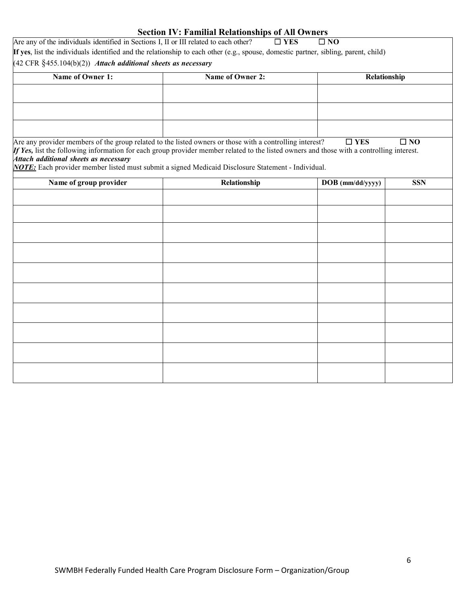| <b>Section IV: Familial Relationships of All Owners</b>                               |                                                                                                                                                                                                                                                       |                  |              |  |  |  |
|---------------------------------------------------------------------------------------|-------------------------------------------------------------------------------------------------------------------------------------------------------------------------------------------------------------------------------------------------------|------------------|--------------|--|--|--|
| Are any of the individuals identified in Sections I, II or III related to each other? | $\square$ YES                                                                                                                                                                                                                                         | $\square$ NO     |              |  |  |  |
|                                                                                       | If yes, list the individuals identified and the relationship to each other (e.g., spouse, domestic partner, sibling, parent, child)                                                                                                                   |                  |              |  |  |  |
|                                                                                       | $(42 \text{ CFR } \text{\{}455.104(b)(2)})$ Attach additional sheets as necessary                                                                                                                                                                     |                  |              |  |  |  |
| Name of Owner 1:                                                                      | Name of Owner 2:                                                                                                                                                                                                                                      | Relationship     |              |  |  |  |
|                                                                                       |                                                                                                                                                                                                                                                       |                  |              |  |  |  |
|                                                                                       |                                                                                                                                                                                                                                                       |                  |              |  |  |  |
|                                                                                       |                                                                                                                                                                                                                                                       |                  |              |  |  |  |
|                                                                                       |                                                                                                                                                                                                                                                       |                  |              |  |  |  |
|                                                                                       |                                                                                                                                                                                                                                                       |                  | $\square$ NO |  |  |  |
|                                                                                       | Are any provider members of the group related to the listed owners or those with a controlling interest?<br>If Yes, list the following information for each group provider member related to the listed owners and those with a controlling interest. | $\square$ YES    |              |  |  |  |
| Attach additional sheets as necessary                                                 |                                                                                                                                                                                                                                                       |                  |              |  |  |  |
|                                                                                       | NOTE: Each provider member listed must submit a signed Medicaid Disclosure Statement - Individual.                                                                                                                                                    |                  |              |  |  |  |
| Name of group provider                                                                | Relationship                                                                                                                                                                                                                                          | DOB (mm/dd/yyyy) | <b>SSN</b>   |  |  |  |
|                                                                                       |                                                                                                                                                                                                                                                       |                  |              |  |  |  |
|                                                                                       |                                                                                                                                                                                                                                                       |                  |              |  |  |  |
|                                                                                       |                                                                                                                                                                                                                                                       |                  |              |  |  |  |
|                                                                                       |                                                                                                                                                                                                                                                       |                  |              |  |  |  |
|                                                                                       |                                                                                                                                                                                                                                                       |                  |              |  |  |  |
|                                                                                       |                                                                                                                                                                                                                                                       |                  |              |  |  |  |
|                                                                                       |                                                                                                                                                                                                                                                       |                  |              |  |  |  |
|                                                                                       |                                                                                                                                                                                                                                                       |                  |              |  |  |  |
|                                                                                       |                                                                                                                                                                                                                                                       |                  |              |  |  |  |
|                                                                                       |                                                                                                                                                                                                                                                       |                  |              |  |  |  |
|                                                                                       |                                                                                                                                                                                                                                                       |                  |              |  |  |  |
|                                                                                       |                                                                                                                                                                                                                                                       |                  |              |  |  |  |
|                                                                                       |                                                                                                                                                                                                                                                       |                  |              |  |  |  |
|                                                                                       |                                                                                                                                                                                                                                                       |                  |              |  |  |  |
|                                                                                       |                                                                                                                                                                                                                                                       |                  |              |  |  |  |
|                                                                                       |                                                                                                                                                                                                                                                       |                  |              |  |  |  |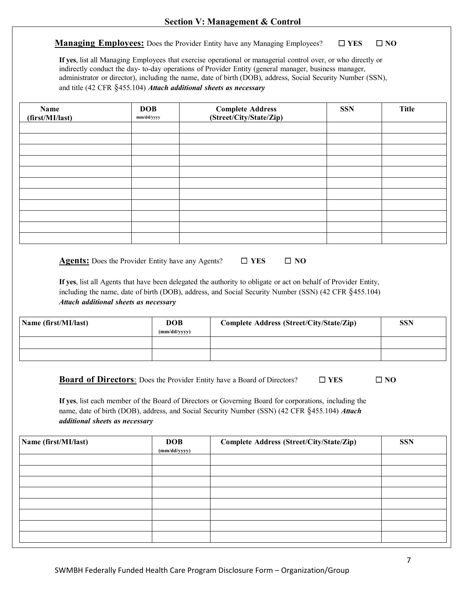**Managing Employees:** Does the Provider Entity have any Managing Employees? □ **YES** □ **NO** 

**If yes**, list all Managing Employees that exercise operational or managerial control over, or who directly or indirectly conduct the day- to-day operations of Provider Entity (general manager, business manager, administrator or director), including the name, date of birth (DOB), address, Social Security Number (SSN), and title (42 CFR §455.104) *Attach additional sheets as necessary*

| Name<br>(first/MI/last) | <b>DOB</b><br>mm/dd/yyyy                                 | <b>Complete Address</b><br>(Street/City/State/Zip)                                                                                                                                                                      | <b>SSN</b> | <b>Title</b> |
|-------------------------|----------------------------------------------------------|-------------------------------------------------------------------------------------------------------------------------------------------------------------------------------------------------------------------------|------------|--------------|
|                         |                                                          |                                                                                                                                                                                                                         |            |              |
|                         |                                                          |                                                                                                                                                                                                                         |            |              |
|                         |                                                          |                                                                                                                                                                                                                         |            |              |
|                         |                                                          |                                                                                                                                                                                                                         |            |              |
|                         |                                                          |                                                                                                                                                                                                                         |            |              |
|                         |                                                          |                                                                                                                                                                                                                         |            |              |
|                         |                                                          |                                                                                                                                                                                                                         |            |              |
|                         |                                                          |                                                                                                                                                                                                                         |            |              |
|                         |                                                          |                                                                                                                                                                                                                         |            |              |
|                         |                                                          |                                                                                                                                                                                                                         |            |              |
|                         |                                                          |                                                                                                                                                                                                                         |            |              |
|                         | <b>Agents:</b> Does the Provider Entity have any Agents? | $\Box$ YES<br>$\square$ NO                                                                                                                                                                                              |            |              |
|                         |                                                          | If yes, list all Agents that have been delegated the authority to obligate or act on behalf of Provider Entity,<br>including the name, date of birth (DOB), address, and Social Security Number (SSN) (42 CFR §455.104) |            |              |

*Attach additional sheets as necessary*

| Name (first/MI/last) | <b>DOB</b><br>(mm/dd/yyyy) | Complete Address (Street/City/State/Zip) | <b>SSN</b> |
|----------------------|----------------------------|------------------------------------------|------------|
|                      |                            |                                          |            |
|                      |                            |                                          |            |

**Board of Directors**: Does the Provider Entity have a Board of Directors? ☐ **YES** ☐ **NO**

**If yes**, list each member of the Board of Directors or Governing Board for corporations, including the name, date of birth (DOB), address, and Social Security Number (SSN) (42 CFR §455.104) *Attach additional sheets as necessary*

| Name (first/MI/last) | <b>DOB</b><br>(mm/dd/yyyy) | Complete Address (Street/City/State/Zip) | <b>SSN</b> |
|----------------------|----------------------------|------------------------------------------|------------|
|                      |                            |                                          |            |
|                      |                            |                                          |            |
|                      |                            |                                          |            |
|                      |                            |                                          |            |
|                      |                            |                                          |            |
|                      |                            |                                          |            |
|                      |                            |                                          |            |
|                      |                            |                                          |            |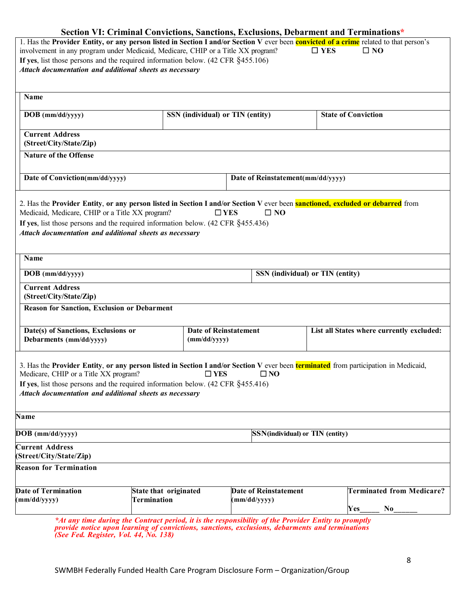|                                                                                                                                                                                                    |                                  |                                         | Section VI: Criminal Convictions, Sanctions, Exclusions, Debarment and Terminations*                                                   |  |  |
|----------------------------------------------------------------------------------------------------------------------------------------------------------------------------------------------------|----------------------------------|-----------------------------------------|----------------------------------------------------------------------------------------------------------------------------------------|--|--|
|                                                                                                                                                                                                    |                                  |                                         | 1. Has the Provider Entity, or any person listed in Section I and/or Section V ever been convicted of a crime related to that person's |  |  |
| involvement in any program under Medicaid, Medicare, CHIP or a Title XX program?<br>$\Box$ YES<br>$\square$ NO<br>If yes, list those persons and the required information below. (42 CFR §455.106) |                                  |                                         |                                                                                                                                        |  |  |
| Attach documentation and additional sheets as necessary                                                                                                                                            |                                  |                                         |                                                                                                                                        |  |  |
|                                                                                                                                                                                                    |                                  |                                         |                                                                                                                                        |  |  |
|                                                                                                                                                                                                    |                                  |                                         |                                                                                                                                        |  |  |
| Name                                                                                                                                                                                               |                                  |                                         |                                                                                                                                        |  |  |
| DOB (mm/dd/yyyy)                                                                                                                                                                                   | SSN (individual) or TIN (entity) |                                         | <b>State of Conviction</b>                                                                                                             |  |  |
| <b>Current Address</b>                                                                                                                                                                             |                                  |                                         |                                                                                                                                        |  |  |
| (Street/City/State/Zip)                                                                                                                                                                            |                                  |                                         |                                                                                                                                        |  |  |
| <b>Nature of the Offense</b>                                                                                                                                                                       |                                  |                                         |                                                                                                                                        |  |  |
|                                                                                                                                                                                                    |                                  |                                         |                                                                                                                                        |  |  |
| Date of Conviction(mm/dd/yyyy)                                                                                                                                                                     |                                  | Date of Reinstatement(mm/dd/yyyy)       |                                                                                                                                        |  |  |
|                                                                                                                                                                                                    |                                  |                                         |                                                                                                                                        |  |  |
| 2. Has the Provider Entity, or any person listed in Section I and/or Section V ever been <b>sanctioned, excluded or debarred</b> from<br>Medicaid, Medicare, CHIP or a Title XX program?           |                                  | $\Box$ YES<br>$\square$ NO              |                                                                                                                                        |  |  |
| If yes, list those persons and the required information below. $(42 \text{ CFR } \S 455.436)$                                                                                                      |                                  |                                         |                                                                                                                                        |  |  |
| Attach documentation and additional sheets as necessary                                                                                                                                            |                                  |                                         |                                                                                                                                        |  |  |
|                                                                                                                                                                                                    |                                  |                                         |                                                                                                                                        |  |  |
| Name                                                                                                                                                                                               |                                  |                                         |                                                                                                                                        |  |  |
| DOB (mm/dd/yyyy)                                                                                                                                                                                   |                                  |                                         | SSN (individual) or TIN (entity)                                                                                                       |  |  |
| <b>Current Address</b>                                                                                                                                                                             |                                  |                                         |                                                                                                                                        |  |  |
| (Street/City/State/Zip)                                                                                                                                                                            |                                  |                                         |                                                                                                                                        |  |  |
| <b>Reason for Sanction, Exclusion or Debarment</b>                                                                                                                                                 |                                  |                                         |                                                                                                                                        |  |  |
|                                                                                                                                                                                                    |                                  |                                         |                                                                                                                                        |  |  |
| Date(s) of Sanctions, Exclusions or<br>Debarments (mm/dd/yyyy)                                                                                                                                     | (mm/dd/yyyy)                     | <b>Date of Reinstatement</b>            | List all States where currently excluded:                                                                                              |  |  |
|                                                                                                                                                                                                    |                                  |                                         |                                                                                                                                        |  |  |
|                                                                                                                                                                                                    |                                  |                                         |                                                                                                                                        |  |  |
| 3. Has the Provider Entity, or any person listed in Section I and/or Section V ever been <b>terminated</b> from participation in Medicaid,<br>Medicare, CHIP or a Title XX program?                | $\square$ YES                    | $\square$ NO                            |                                                                                                                                        |  |  |
| If yes, list those persons and the required information below. $(42 \text{ CFR } §455.416)$                                                                                                        |                                  |                                         |                                                                                                                                        |  |  |
| Attach documentation and additional sheets as necessary                                                                                                                                            |                                  |                                         |                                                                                                                                        |  |  |
|                                                                                                                                                                                                    |                                  |                                         |                                                                                                                                        |  |  |
| <b>Name</b>                                                                                                                                                                                        |                                  |                                         |                                                                                                                                        |  |  |
| DOB (mm/dd/yyyy)                                                                                                                                                                                   |                                  | <b>SSN</b> (individual) or TIN (entity) |                                                                                                                                        |  |  |
| <b>Current Address</b>                                                                                                                                                                             |                                  |                                         |                                                                                                                                        |  |  |
| (Street/City/State/Zip)                                                                                                                                                                            |                                  |                                         |                                                                                                                                        |  |  |
| <b>Reason for Termination</b>                                                                                                                                                                      |                                  |                                         |                                                                                                                                        |  |  |
| <b>Date of Termination</b>                                                                                                                                                                         | State that originated            | <b>Date of Reinstatement</b>            | <b>Terminated from Medicare?</b>                                                                                                       |  |  |
| (mm/dd/yyyy)                                                                                                                                                                                       | Termination                      | (mm/dd/yyyy)                            |                                                                                                                                        |  |  |
|                                                                                                                                                                                                    |                                  |                                         | Yes<br>No                                                                                                                              |  |  |
| *At any time during the Contract period it is the responsibility of the Provider Futity to promptly                                                                                                |                                  |                                         |                                                                                                                                        |  |  |

*\*At any time during the Contract period, it is the responsibility of the Provider Entity to promptly provide notice upon learning of convictions, sanctions, exclusions, debarments and terminations (See Fed. Register, Vol. 44, No. 138)*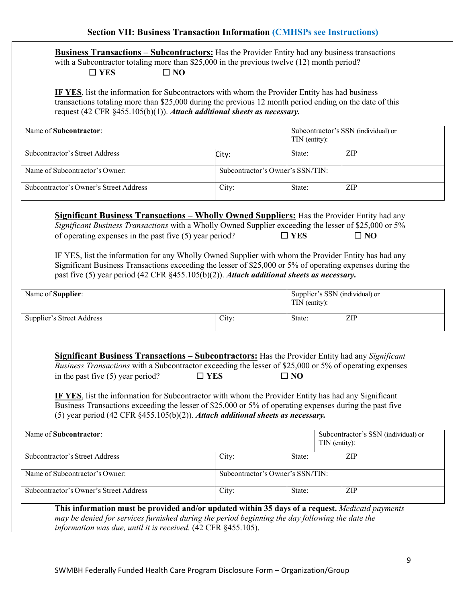**Business Transactions – Subcontractors:** Has the Provider Entity had any business transactions with a Subcontractor totaling more than \$25,000 in the previous twelve (12) month period? ☐ **YES** ☐ **NO** 

**IF YES**, list the information for Subcontractors with whom the Provider Entity has had business transactions totaling more than \$25,000 during the previous 12 month period ending on the date of this request (42 CFR §455.105(b)(1)). *Attach additional sheets as necessary.*

| Name of Subcontractor:                 |                                  | TIN (entity): | Subcontractor's SSN (individual) or |
|----------------------------------------|----------------------------------|---------------|-------------------------------------|
| Subcontractor's Street Address         | City:                            | State:        | ZIP                                 |
| Name of Subcontractor's Owner:         | Subcontractor's Owner's SSN/TIN: |               |                                     |
| Subcontractor's Owner's Street Address | City:                            | State:        | <b>ZIP</b>                          |

**Significant Business Transactions – Wholly Owned Suppliers:** Has the Provider Entity had any *Significant Business Transactions* with a Wholly Owned Supplier exceeding the lesser of \$25,000 or 5% of operating expenses in the past five (5) year period?  $\Box$  **YES**  $\Box$  **NO** 

IF YES, list the information for any Wholly Owned Supplier with whom the Provider Entity has had any Significant Business Transactions exceeding the lesser of \$25,000 or 5% of operating expenses during the past five (5) year period (42 CFR §455.105(b)(2)). *Attach additional sheets as necessary.* 

| Name of <b>Supplier</b> : |       | Supplier's SSN (individual) or<br>TIN (entity): |     |
|---------------------------|-------|-------------------------------------------------|-----|
| Supplier's Street Address | City: | State:                                          | ZIP |

**Significant Business Transactions – Subcontractors:** Has the Provider Entity had any *Significant Business Transactions* with a Subcontractor exceeding the lesser of \$25,000 or 5% of operating expenses in the past five (5) year period?  $\Box$  **YES**  $\Box$  **NO** 

**IF YES**, list the information for Subcontractor with whom the Provider Entity has had any Significant Business Transactions exceeding the lesser of \$25,000 or 5% of operating expenses during the past five (5) year period (42 CFR §455.105(b)(2)). *Attach additional sheets as necessary.*

| Name of Subcontractor:                                                                                                                                                                                                                                              |                                  |        | Subcontractor's SSN (individual) or<br>TIN (entity): |  |
|---------------------------------------------------------------------------------------------------------------------------------------------------------------------------------------------------------------------------------------------------------------------|----------------------------------|--------|------------------------------------------------------|--|
| Subcontractor's Street Address                                                                                                                                                                                                                                      | City:                            | State: | <b>ZIP</b>                                           |  |
| Name of Subcontractor's Owner:                                                                                                                                                                                                                                      | Subcontractor's Owner's SSN/TIN: |        |                                                      |  |
| Subcontractor's Owner's Street Address                                                                                                                                                                                                                              | City:                            | State: | <b>ZIP</b>                                           |  |
| This information must be provided and/or updated within 35 days of a request. Medicaid payments<br>may be denied for services furnished during the period beginning the day following the date the<br>information was due, until it is received. (42 CFR §455.105). |                                  |        |                                                      |  |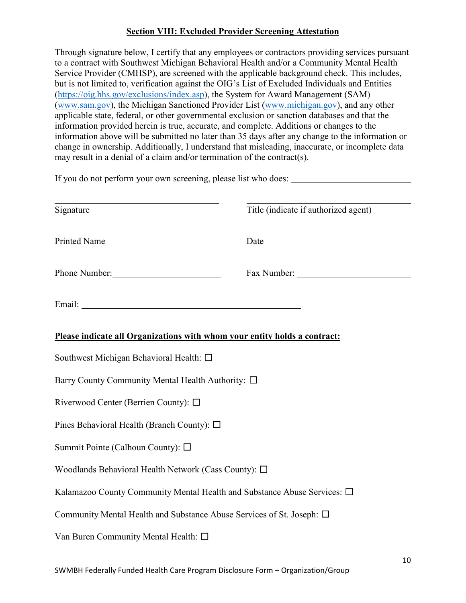### **Section VIII: Excluded Provider Screening Attestation**

Through signature below, I certify that any employees or contractors providing services pursuant to a contract with Southwest Michigan Behavioral Health and/or a Community Mental Health Service Provider (CMHSP), are screened with the applicable background check. This includes, but is not limited to, verification against the OIG's List of Excluded Individuals and Entities [\(https://oig.hhs.gov/exclusions/index.asp\)](https://oig.hhs.gov/exclusions/index.asp), the System for Award Management (SAM) [\(www.sam.gov\)](http://www.sam.gov/), the Michigan Sanctioned Provider List [\(www.michigan.gov\)](http://www.michigan.gov/), and any other applicable state, federal, or other governmental exclusion or sanction databases and that the information provided herein is true, accurate, and complete. Additions or changes to the information above will be submitted no later than 35 days after any change to the information or change in ownership. Additionally, I understand that misleading, inaccurate, or incomplete data may result in a denial of a claim and/or termination of the contract(s).

| If you do not perform your own screening, please list who does:           |                                      |  |
|---------------------------------------------------------------------------|--------------------------------------|--|
| Signature                                                                 | Title (indicate if authorized agent) |  |
| Printed Name                                                              | Date                                 |  |
| Phone Number:                                                             | Fax Number: 2008                     |  |
|                                                                           |                                      |  |
| Please indicate all Organizations with whom your entity holds a contract: |                                      |  |
| Southwest Michigan Behavioral Health: □                                   |                                      |  |
| Barry County Community Mental Health Authority: □                         |                                      |  |
| Riverwood Center (Berrien County): □                                      |                                      |  |
| Pines Behavioral Health (Branch County): $\square$                        |                                      |  |
| Summit Pointe (Calhoun County): $\square$                                 |                                      |  |
| Woodlands Behavioral Health Network (Cass County): $\square$              |                                      |  |
| Kalamazoo County Community Mental Health and Substance Abuse Services: □  |                                      |  |
| Community Mental Health and Substance Abuse Services of St. Joseph: □     |                                      |  |
| Van Buren Community Mental Health: $\square$                              |                                      |  |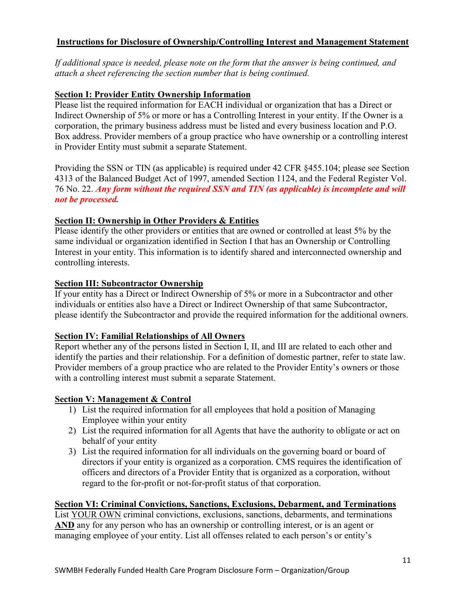### **Instructions for Disclosure of Ownership/Controlling Interest and Management Statement**

*If additional space is needed, please note on the form that the answer is being continued, and attach a sheet referencing the section number that is being continued.* 

#### **Section I: Provider Entity Ownership Information**

Please list the required information for EACH individual or organization that has a Direct or Indirect Ownership of 5% or more or has a Controlling Interest in your entity. If the Owner is a corporation, the primary business address must be listed and every business location and P.O. Box address. Provider members of a group practice who have ownership or a controlling interest in Provider Entity must submit a separate Statement.

Providing the SSN or TIN (as applicable) is required under 42 CFR §455.104; please see Section 4313 of the Balanced Budget Act of 1997, amended Section 1124, and the Federal Register Vol. 76 No. 22. *Any form without the required SSN and TIN (as applicable) is incomplete and will not be processed.*

#### **Section II: Ownership in Other Providers & Entities**

Please identify the other providers or entities that are owned or controlled at least 5% by the same individual or organization identified in Section I that has an Ownership or Controlling Interest in your entity. This information is to identify shared and interconnected ownership and controlling interests.

#### **Section III: Subcontractor Ownership**

If your entity has a Direct or Indirect Ownership of 5% or more in a Subcontractor and other individuals or entities also have a Direct or Indirect Ownership of that same Subcontractor, please identify the Subcontractor and provide the required information for the additional owners.

### **Section IV: Familial Relationships of All Owners**

Report whether any of the persons listed in Section I, II, and III are related to each other and identify the parties and their relationship. For a definition of domestic partner, refer to state law. Provider members of a group practice who are related to the Provider Entity's owners or those with a controlling interest must submit a separate Statement.

### **Section V: Management & Control**

- 1) List the required information for all employees that hold a position of Managing Employee within your entity
- 2) List the required information for all Agents that have the authority to obligate or act on behalf of your entity
- 3) List the required information for all individuals on the governing board or board of directors if your entity is organized as a corporation. CMS requires the identification of officers and directors of a Provider Entity that is organized as a corporation, without regard to the for-profit or not-for-profit status of that corporation.

#### **Section VI: Criminal Convictions, Sanctions, Exclusions, Debarment, and Terminations**

List YOUR OWN criminal convictions, exclusions, sanctions, debarments, and terminations AND any for any person who has an ownership or controlling interest, or is an agent or managing employee of your entity. List all offenses related to each person's or entity's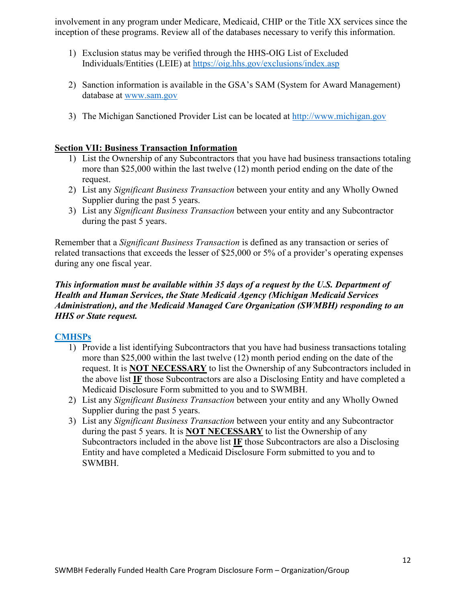involvement in any program under Medicare, Medicaid, CHIP or the Title XX services since the inception of these programs. Review all of the databases necessary to verify this information.

- 1) Exclusion status may be verified through the HHS-OIG List of Excluded Individuals/Entities (LEIE) at<https://oig.hhs.gov/exclusions/index.asp>
- 2) Sanction information is available in the GSA's SAM (System for Award Management) database at [www.sam.gov](http://www.sam.gov/)
- 3) The Michigan Sanctioned Provider List can be located at [http://www.michigan.gov](http://www.michigan.gov/)

## **Section VII: Business Transaction Information**

- 1) List the Ownership of any Subcontractors that you have had business transactions totaling more than \$25,000 within the last twelve (12) month period ending on the date of the request.
- 2) List any *Significant Business Transaction* between your entity and any Wholly Owned Supplier during the past 5 years.
- 3) List any *Significant Business Transaction* between your entity and any Subcontractor during the past 5 years.

Remember that a *Significant Business Transaction* is defined as any transaction or series of related transactions that exceeds the lesser of \$25,000 or 5% of a provider's operating expenses during any one fiscal year.

## *This information must be available within 35 days of a request by the U.S. Department of Health and Human Services, the State Medicaid Agency (Michigan Medicaid Services Administration), and the Medicaid Managed Care Organization (SWMBH) responding to an HHS or State request.*

### **CMHSPs**

- 1) Provide a list identifying Subcontractors that you have had business transactions totaling more than \$25,000 within the last twelve (12) month period ending on the date of the request. It is **NOT NECESSARY** to list the Ownership of any Subcontractors included in the above list **IF** those Subcontractors are also a Disclosing Entity and have completed a Medicaid Disclosure Form submitted to you and to SWMBH.
- 2) List any *Significant Business Transaction* between your entity and any Wholly Owned Supplier during the past 5 years.
- 3) List any *Significant Business Transaction* between your entity and any Subcontractor during the past 5 years. It is **NOT NECESSARY** to list the Ownership of any Subcontractors included in the above list **IF** those Subcontractors are also a Disclosing Entity and have completed a Medicaid Disclosure Form submitted to you and to SWMBH.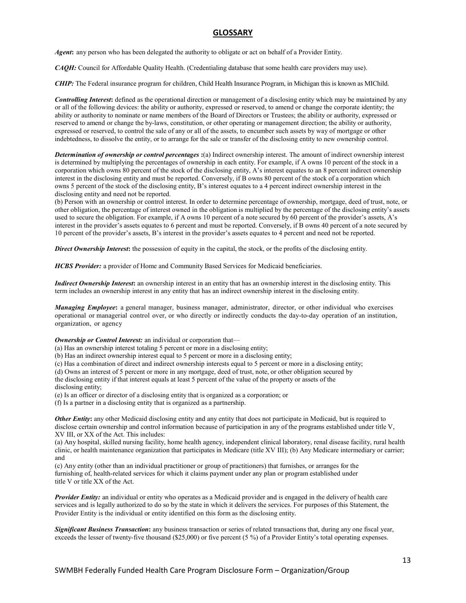#### **GLOSSARY**

*Agent***:** any person who has been delegated the authority to obligate or act on behalf of a Provider Entity.

*CAQH:* Council for Affordable Quality Health. (Credentialing database that some health care providers may use).

*CHIP:* The Federal insurance program for children, Child Health Insurance Program, in Michigan this is known as MIChild.

*Controlling Interest***:** defined as the operational direction or management of a disclosing entity which may be maintained by any or all of the following devices: the ability or authority, expressed or reserved, to amend or change the corporate identity; the ability or authority to nominate or name members of the Board of Directors or Trustees; the ability or authority, expressed or reserved to amend or change the by-laws, constitution, or other operating or management direction; the ability or authority, expressed or reserved, to control the sale of any or all of the assets, to encumber such assets by way of mortgage or other indebtedness, to dissolve the entity, or to arrange for the sale or transfer of the disclosing entity to new ownership control.

*Determination of ownership or control percentages* **:**(a) Indirect ownership interest. The amount of indirect ownership interest is determined by multiplying the percentages of ownership in each entity. For example, if A owns 10 percent of the stock in a corporation which owns 80 percent of the stock of the disclosing entity, A's interest equates to an 8 percent indirect ownership interest in the disclosing entity and must be reported. Conversely, if B owns 80 percent of the stock of a corporation which owns 5 percent of the stock of the disclosing entity, B's interest equates to a 4 percent indirect ownership interest in the disclosing entity and need not be reported.

(b) Person with an ownership or control interest. In order to determine percentage of ownership, mortgage, deed of trust, note, or other obligation, the percentage of interest owned in the obligation is multiplied by the percentage of the disclosing entity's assets used to secure the obligation. For example, if A owns 10 percent of a note secured by 60 percent of the provider's assets, A's interest in the provider's assets equates to 6 percent and must be reported. Conversely, if B owns 40 percent of a note secured by 10 percent of the provider's assets, B's interest in the provider's assets equates to 4 percent and need not be reported.

*Direct Ownership Interest***:** the possession of equity in the capital, the stock, or the profits of the disclosing entity.

*HCBS Provider:* a provider of Home and Community Based Services for Medicaid beneficiaries.

*Indirect Ownership Interest***:** an ownership interest in an entity that has an ownership interest in the disclosing entity. This term includes an ownership interest in any entity that has an indirect ownership interest in the disclosing entity.

*Managing Employee***:** a general manager, business manager, administrator, director, or other individual who exercises operational or managerial control over, or who directly or indirectly conducts the day-to-day operation of an institution, organization, or agency

#### *Ownership or Control Interest:* an individual or corporation that—

(a) Has an ownership interest totaling 5 percent or more in a disclosing entity;

(b) Has an indirect ownership interest equal to 5 percent or more in a disclosing entity;

(c) Has a combination of direct and indirect ownership interests equal to 5 percent or more in a disclosing entity;

(d) Owns an interest of 5 percent or more in any mortgage, deed of trust, note, or other obligation secured by the disclosing entity if that interest equals at least 5 percent of the value of the property or assets of the disclosing entity;

(e) Is an officer or director of a disclosing entity that is organized as a corporation; or

(f) Is a partner in a disclosing entity that is organized as a partnership.

**Other Entity:** any other Medicaid disclosing entity and any entity that does not participate in Medicaid, but is required to disclose certain ownership and control information because of participation in any of the programs established under title V, XV III, or XX of the Act. This includes:

(a) Any hospital, skilled nursing facility, home health agency, independent clinical laboratory, renal disease facility, rural health clinic, or health maintenance organization that participates in Medicare (title XV III); (b) Any Medicare intermediary or carrier; and

(c) Any entity (other than an individual practitioner or group of practitioners) that furnishes, or arranges for the furnishing of, health-related services for which it claims payment under any plan or program established under title V or title XX of the Act.

*Provider Entity:* an individual or entity who operates as a Medicaid provider and is engaged in the delivery of health care services and is legally authorized to do so by the state in which it delivers the services. For purposes of this Statement, the Provider Entity is the individual or entity identified on this form as the disclosing entity.

*Significant Business Transaction***:** any business transaction or series of related transactions that, during any one fiscal year, exceeds the lesser of twenty-five thousand (\$25,000) or five percent (5 %) of a Provider Entity's total operating expenses.